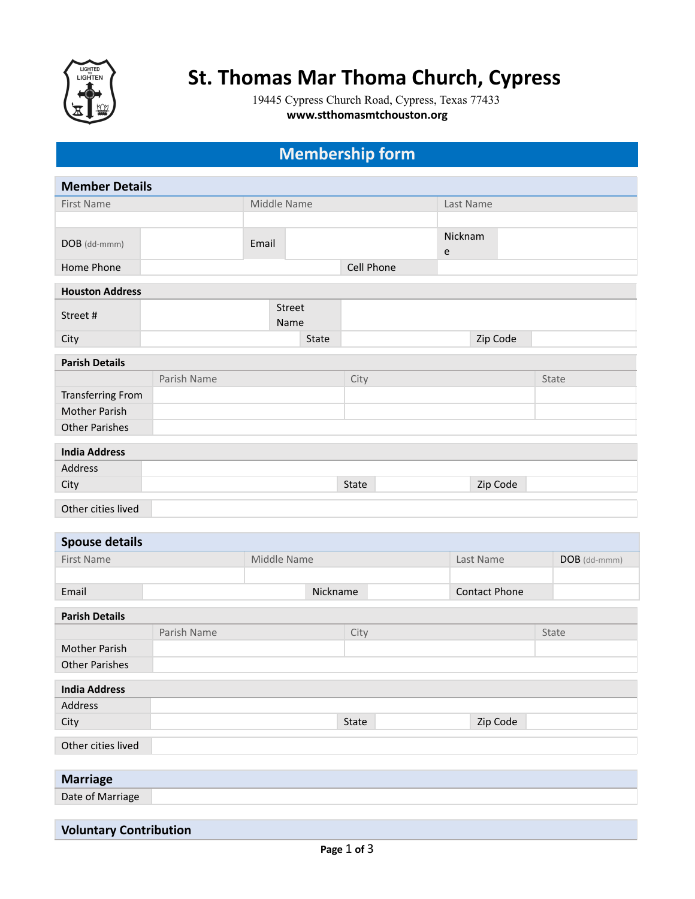

## **St. Thomas Mar Thoma Church, Cypress**

19445 Cypress Church Road, Cypress, Texas 77433 **www.stthomasmtchouston.org**

## **Membership form**

| <b>Member Details</b>    |             |             |                |            |              |          |  |  |
|--------------------------|-------------|-------------|----------------|------------|--------------|----------|--|--|
| First Name               |             | Middle Name |                |            | Last Name    |          |  |  |
|                          |             |             |                |            |              |          |  |  |
| DOB (dd-mmm)             |             | Email       |                |            | Nicknam<br>e |          |  |  |
| Home Phone               |             |             |                | Cell Phone |              |          |  |  |
| <b>Houston Address</b>   |             |             |                |            |              |          |  |  |
| Street#                  |             |             | Street<br>Name |            |              |          |  |  |
| City                     |             |             | State          |            |              | Zip Code |  |  |
| <b>Parish Details</b>    |             |             |                |            |              |          |  |  |
|                          | Parish Name |             |                | City       |              | State    |  |  |
| <b>Transferring From</b> |             |             |                |            |              |          |  |  |
| Mother Parish            |             |             |                |            |              |          |  |  |
| <b>Other Parishes</b>    |             |             |                |            |              |          |  |  |
| <b>India Address</b>     |             |             |                |            |              |          |  |  |
| Address                  |             |             |                |            |              |          |  |  |
| City                     |             |             |                | State      |              | Zip Code |  |  |
| Other cities lived       |             |             |                |            |              |          |  |  |

| <b>Spouse details</b>         |             |             |          |  |                      |              |              |
|-------------------------------|-------------|-------------|----------|--|----------------------|--------------|--------------|
| First Name                    |             | Middle Name |          |  | Last Name            |              | DOB (dd-mmm) |
|                               |             |             |          |  |                      |              |              |
| Email                         |             |             | Nickname |  | <b>Contact Phone</b> |              |              |
| <b>Parish Details</b>         |             |             |          |  |                      |              |              |
|                               | Parish Name |             | City     |  |                      | <b>State</b> |              |
| <b>Mother Parish</b>          |             |             |          |  |                      |              |              |
| <b>Other Parishes</b>         |             |             |          |  |                      |              |              |
| <b>India Address</b>          |             |             |          |  |                      |              |              |
| Address                       |             |             |          |  |                      |              |              |
| City                          |             |             | State    |  | Zip Code             |              |              |
| Other cities lived            |             |             |          |  |                      |              |              |
|                               |             |             |          |  |                      |              |              |
| <b>Marriage</b>               |             |             |          |  |                      |              |              |
| Date of Marriage              |             |             |          |  |                      |              |              |
|                               |             |             |          |  |                      |              |              |
| <b>Voluntary Contribution</b> |             |             |          |  |                      |              |              |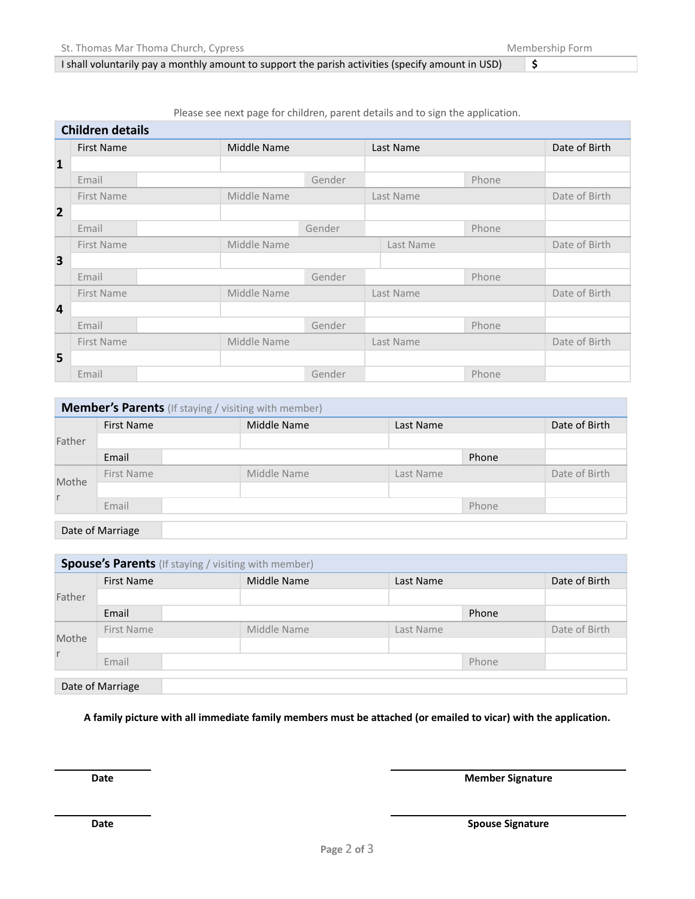## I shall voluntarily pay a monthly amount to support the parish activities (specify amount in USD) **\$**

Please see next page for children, parent details and to sign the application.

|                | <b>Children details</b> |             |        |           |       |               |
|----------------|-------------------------|-------------|--------|-----------|-------|---------------|
|                | <b>First Name</b>       | Middle Name |        | Last Name |       | Date of Birth |
| $\mathbf{1}$   |                         |             |        |           |       |               |
|                | Email                   |             | Gender |           | Phone |               |
|                | First Name              | Middle Name |        | Last Name |       | Date of Birth |
| $\overline{2}$ |                         |             |        |           |       |               |
|                | Email                   |             | Gender |           | Phone |               |
|                | First Name              | Middle Name |        | Last Name |       | Date of Birth |
| 3              |                         |             |        |           |       |               |
|                | Email                   |             | Gender |           | Phone |               |
|                | First Name              | Middle Name |        | Last Name |       | Date of Birth |
| 4              |                         |             |        |           |       |               |
|                | Email                   |             | Gender |           | Phone |               |
|                | First Name              | Middle Name |        | Last Name |       | Date of Birth |
| 5              |                         |             |        |           |       |               |
|                | Email                   |             | Gender |           | Phone |               |

| <b>Member's Parents</b> (If staying / visiting with member) |                   |             |           |               |  |  |  |
|-------------------------------------------------------------|-------------------|-------------|-----------|---------------|--|--|--|
|                                                             | <b>First Name</b> | Middle Name | Last Name | Date of Birth |  |  |  |
| Father                                                      |                   |             |           |               |  |  |  |
|                                                             | Email             |             | Phone     |               |  |  |  |
| Mothe                                                       | First Name        | Middle Name | Last Name | Date of Birth |  |  |  |
|                                                             |                   |             |           |               |  |  |  |
|                                                             | Email             |             | Phone     |               |  |  |  |
|                                                             |                   |             |           |               |  |  |  |

Date of Marriage

| <b>Spouse's Parents</b> (If staying / visiting with member) |             |           |       |               |  |  |
|-------------------------------------------------------------|-------------|-----------|-------|---------------|--|--|
| <b>First Name</b>                                           | Middle Name | Last Name |       | Date of Birth |  |  |
|                                                             |             |           |       |               |  |  |
| Email                                                       |             | Phone     |       |               |  |  |
| First Name                                                  | Middle Name | Last Name |       |               |  |  |
|                                                             |             |           |       |               |  |  |
| Email                                                       |             |           | Phone |               |  |  |
| Date of Marriage                                            |             |           |       |               |  |  |
|                                                             |             |           |       |               |  |  |

A family picture with all immediate family members must be attached (or emailed to vicar) with the application.

**Date Member** Signature

**Date Spouse** Signature